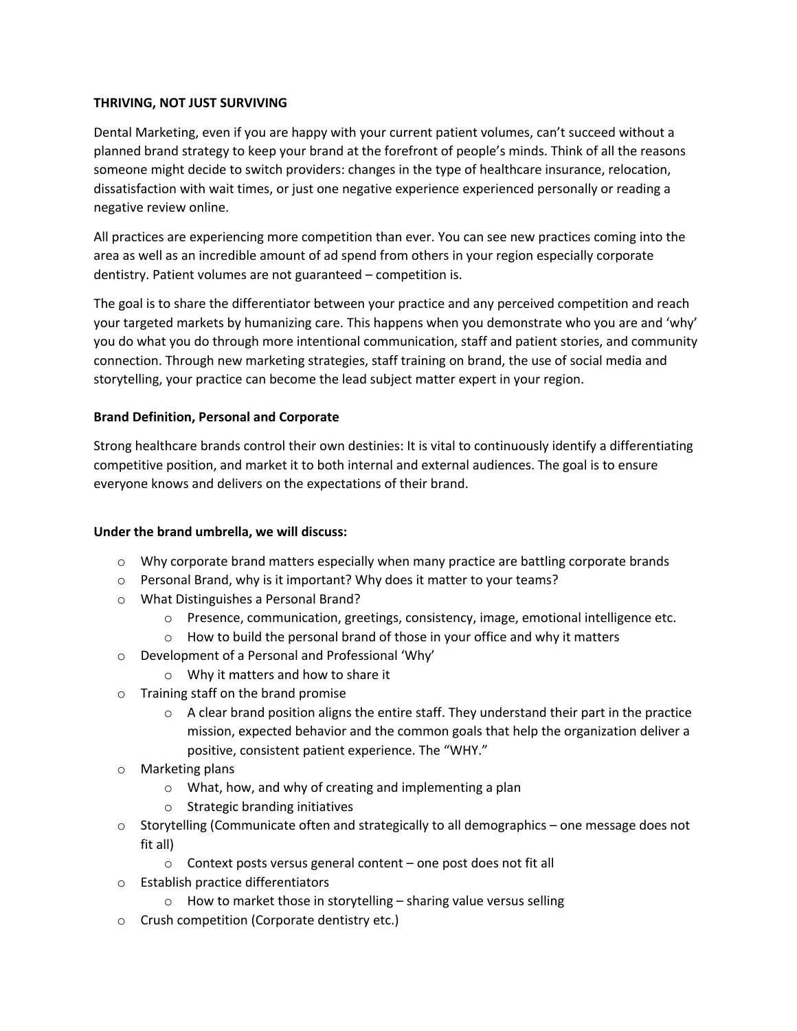## **THRIVING, NOT JUST SURVIVING**

Dental Marketing, even if you are happy with your current patient volumes, can't succeed without a planned brand strategy to keep your brand at the forefront of people's minds. Think of all the reasons someone might decide to switch providers: changes in the type of healthcare insurance, relocation, dissatisfaction with wait times, or just one negative experience experienced personally or reading a negative review online.

All practices are experiencing more competition than ever. You can see new practices coming into the area as well as an incredible amount of ad spend from others in your region especially corporate dentistry. Patient volumes are not guaranteed – competition is.

The goal is to share the differentiator between your practice and any perceived competition and reach your targeted markets by humanizing care. This happens when you demonstrate who you are and 'why' you do what you do through more intentional communication, staff and patient stories, and community connection. Through new marketing strategies, staff training on brand, the use of social media and storytelling, your practice can become the lead subject matter expert in your region.

## **Brand Definition, Personal and Corporate**

Strong healthcare brands control their own destinies: It is vital to continuously identify a differentiating competitive position, and market it to both internal and external audiences. The goal is to ensure everyone knows and delivers on the expectations of their brand.

## **Under the brand umbrella, we will discuss:**

- $\circ$  Why corporate brand matters especially when many practice are battling corporate brands
- o Personal Brand, why is it important? Why does it matter to your teams?
- o What Distinguishes a Personal Brand?
	- o Presence, communication, greetings, consistency, image, emotional intelligence etc.
	- o How to build the personal brand of those in your office and why it matters
- o Development of a Personal and Professional 'Why'
	- o Why it matters and how to share it
- o Training staff on the brand promise
	- $\circ$  A clear brand position aligns the entire staff. They understand their part in the practice mission, expected behavior and the common goals that help the organization deliver a positive, consistent patient experience. The "WHY."
- o Marketing plans
	- o What, how, and why of creating and implementing a plan
	- o Strategic branding initiatives
- $\circ$  Storytelling (Communicate often and strategically to all demographics one message does not fit all)
	- o Context posts versus general content one post does not fit all
- o Establish practice differentiators
	- $\circ$  How to market those in storytelling sharing value versus selling
- o Crush competition (Corporate dentistry etc.)